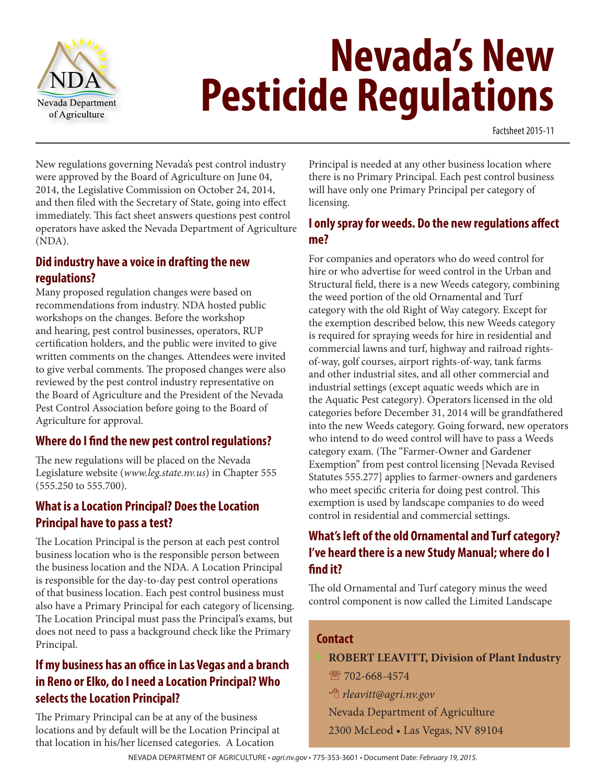

# **Nevada's New Pesticide Regulations**

Factsheet 2015-11

New regulations governing Nevada's pest control industry were approved by the Board of Agriculture on June 04, 2014, the Legislative Commission on October 24, 2014, and then filed with the Secretary of State, going into effect immediately. This fact sheet answers questions pest control operators have asked the Nevada Department of Agriculture (NDA).

#### **Did industry have a voice in drafting the new regulations?**

Many proposed regulation changes were based on recommendations from industry. NDA hosted public workshops on the changes. Before the workshop and hearing, pest control businesses, operators, RUP certification holders, and the public were invited to give written comments on the changes. Attendees were invited to give verbal comments. The proposed changes were also reviewed by the pest control industry representative on the Board of Agriculture and the President of the Nevada Pest Control Association before going to the Board of Agriculture for approval.

#### **Where do I find the new pest control regulations?**

The new regulations will be placed on the Nevada Legislature website (*www.leg.state.nv.us*) in Chapter 555 (555.250 to 555.700).

## **What is a Location Principal? Does the Location Principal have to pass a test?**

The Location Principal is the person at each pest control business location who is the responsible person between the business location and the NDA. A Location Principal is responsible for the day-to-day pest control operations of that business location. Each pest control business must also have a Primary Principal for each category of licensing. The Location Principal must pass the Principal's exams, but does not need to pass a background check like the Primary Principal.

# **If my business has an office in Las Vegas and a branch in Reno or Elko, do I need a Location Principal? Who selects the Location Principal?**

The Primary Principal can be at any of the business locations and by default will be the Location Principal at that location in his/her licensed categories. A Location

Principal is needed at any other business location where there is no Primary Principal. Each pest control business will have only one Primary Principal per category of licensing.

#### **I only spray for weeds. Do the new regulations affect me?**

For companies and operators who do weed control for hire or who advertise for weed control in the Urban and Structural field, there is a new Weeds category, combining the weed portion of the old Ornamental and Turf category with the old Right of Way category. Except for the exemption described below, this new Weeds category is required for spraying weeds for hire in residential and commercial lawns and turf, highway and railroad rightsof-way, golf courses, airport rights-of-way, tank farms and other industrial sites, and all other commercial and industrial settings (except aquatic weeds which are in the Aquatic Pest category). Operators licensed in the old categories before December 31, 2014 will be grandfathered into the new Weeds category. Going forward, new operators who intend to do weed control will have to pass a Weeds category exam. (The "Farmer-Owner and Gardener Exemption" from pest control licensing [Nevada Revised Statutes 555.277] applies to farmer-owners and gardeners who meet specific criteria for doing pest control. This exemption is used by landscape companies to do weed control in residential and commercial settings.

# **What's left of the old Ornamental and Turf category? I've heard there is a new Study Manual; where do I find it?**

The old Ornamental and Turf category minus the weed control component is now called the Limited Landscape

#### **Contact**

- } **ROBERT LEAVITT, Division of Plant Industry**
- **R** 702-668-4574
- 8 *rleavitt@agri.nv.gov*

Nevada Department of Agriculture 2300 McLeod • Las Vegas, NV 89104